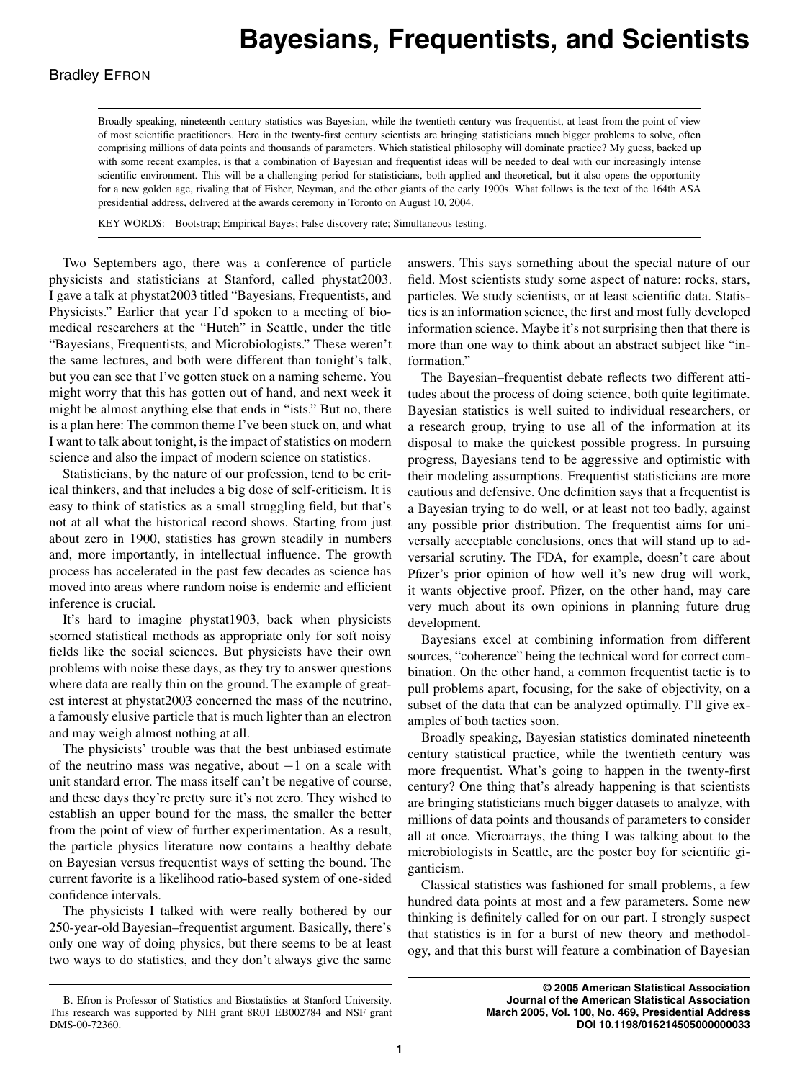## **Bayesians, Frequentists, and Scientists**

## **Bradley EFRON**

Broadly speaking, nineteenth century statistics was Bayesian, while the twentieth century was frequentist, at least from the point of view of most scientific practitioners. Here in the twenty-first century scientists are bringing statisticians much bigger problems to solve, often comprising millions of data points and thousands of parameters. Which statistical philosophy will dominate practice? My guess, backed up with some recent examples, is that a combination of Bayesian and frequentist ideas will be needed to deal with our increasingly intense scientific environment. This will be a challenging period for statisticians, both applied and theoretical, but it also opens the opportunity for a new golden age, rivaling that of Fisher, Neyman, and the other giants of the early 1900s. What follows is the text of the 164th ASA presidential address, delivered at the awards ceremony in Toronto on August 10, 2004.

KEY WORDS: Bootstrap; Empirical Bayes; False discovery rate; Simultaneous testing.

Two Septembers ago, there was a conference of particle physicists and statisticians at Stanford, called phystat2003. I gave a talk at phystat2003 titled "Bayesians, Frequentists, and Physicists." Earlier that year I'd spoken to a meeting of biomedical researchers at the "Hutch" in Seattle, under the title "Bayesians, Frequentists, and Microbiologists." These weren't the same lectures, and both were different than tonight's talk, but you can see that I've gotten stuck on a naming scheme. You might worry that this has gotten out of hand, and next week it might be almost anything else that ends in "ists." But no, there is a plan here: The common theme I've been stuck on, and what I want to talk about tonight, is the impact of statistics on modern science and also the impact of modern science on statistics.

Statisticians, by the nature of our profession, tend to be critical thinkers, and that includes a big dose of self-criticism. It is easy to think of statistics as a small struggling field, but that's not at all what the historical record shows. Starting from just about zero in 1900, statistics has grown steadily in numbers and, more importantly, in intellectual influence. The growth process has accelerated in the past few decades as science has moved into areas where random noise is endemic and efficient inference is crucial.

It's hard to imagine phystat1903, back when physicists scorned statistical methods as appropriate only for soft noisy fields like the social sciences. But physicists have their own problems with noise these days, as they try to answer questions where data are really thin on the ground. The example of greatest interest at phystat2003 concerned the mass of the neutrino, a famously elusive particle that is much lighter than an electron and may weigh almost nothing at all.

The physicists' trouble was that the best unbiased estimate of the neutrino mass was negative, about  $-1$  on a scale with unit standard error. The mass itself can't be negative of course, and these days they're pretty sure it's not zero. They wished to establish an upper bound for the mass, the smaller the better from the point of view of further experimentation. As a result, the particle physics literature now contains a healthy debate on Bayesian versus frequentist ways of setting the bound. The current favorite is a likelihood ratio-based system of one-sided confidence intervals.

The physicists I talked with were really bothered by our 250-year-old Bayesian–frequentist argument. Basically, there's only one way of doing physics, but there seems to be at least two ways to do statistics, and they don't always give the same

answers. This says something about the special nature of our field. Most scientists study some aspect of nature: rocks, stars, particles. We study scientists, or at least scientific data. Statistics is an information science, the first and most fully developed information science. Maybe it's not surprising then that there is more than one way to think about an abstract subject like "information."

The Bayesian–frequentist debate reflects two different attitudes about the process of doing science, both quite legitimate. Bayesian statistics is well suited to individual researchers, or a research group, trying to use all of the information at its disposal to make the quickest possible progress. In pursuing progress, Bayesians tend to be aggressive and optimistic with their modeling assumptions. Frequentist statisticians are more cautious and defensive. One definition says that a frequentist is a Bayesian trying to do well, or at least not too badly, against any possible prior distribution. The frequentist aims for universally acceptable conclusions, ones that will stand up to adversarial scrutiny. The FDA, for example, doesn't care about Pfizer's prior opinion of how well it's new drug will work, it wants objective proof. Pfizer, on the other hand, may care very much about its own opinions in planning future drug development.

Bayesians excel at combining information from different sources, "coherence" being the technical word for correct combination. On the other hand, a common frequentist tactic is to pull problems apart, focusing, for the sake of objectivity, on a subset of the data that can be analyzed optimally. I'll give examples of both tactics soon.

Broadly speaking, Bayesian statistics dominated nineteenth century statistical practice, while the twentieth century was more frequentist. What's going to happen in the twenty-first century? One thing that's already happening is that scientists are bringing statisticians much bigger datasets to analyze, with millions of data points and thousands of parameters to consider all at once. Microarrays, the thing I was talking about to the microbiologists in Seattle, are the poster boy for scientific giganticism.

Classical statistics was fashioned for small problems, a few hundred data points at most and a few parameters. Some new thinking is definitely called for on our part. I strongly suspect that statistics is in for a burst of new theory and methodology, and that this burst will feature a combination of Bayesian

© 2005 American Statistical Association Journal of the American Statistical Association March 2005, Vol. 100, No. 469, Presidential Address DOI 10.1198/016214505000000033

B. Efron is Professor of Statistics and Biostatistics at Stanford University. This research was supported by NIH grant 8R01 EB002784 and NSF grant DMS-00-72360.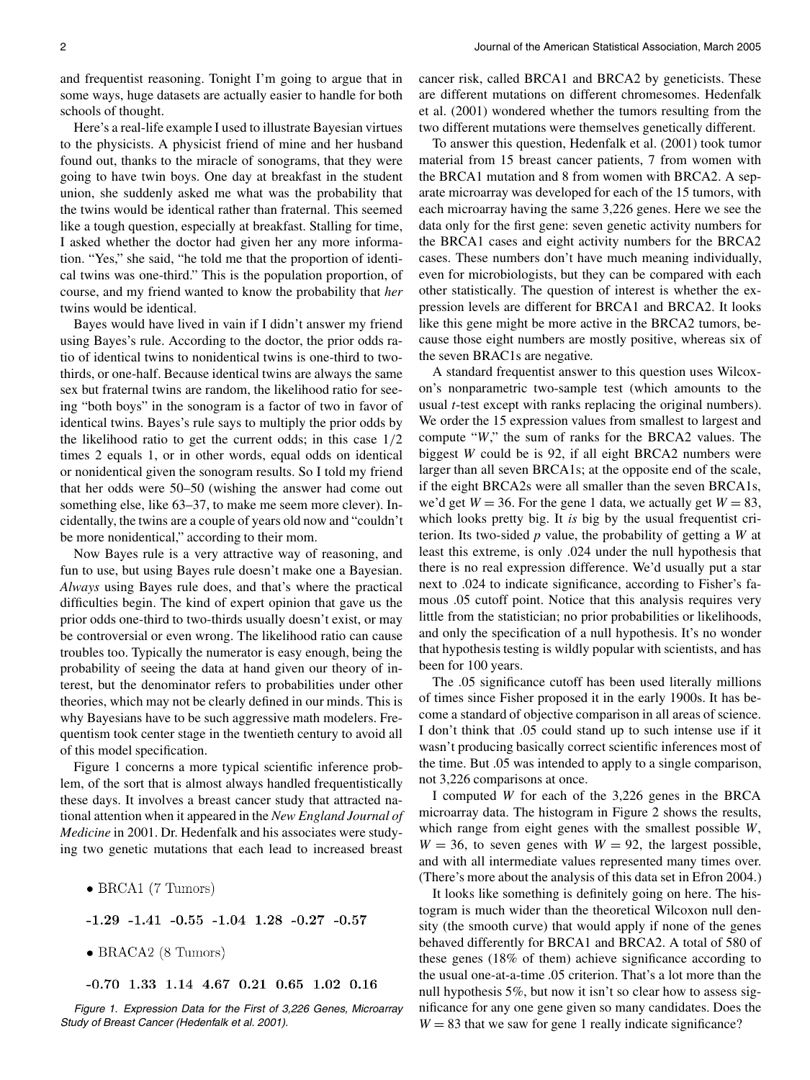and frequentist reasoning. Tonight I'm going to argue that in some ways, huge datasets are actually easier to handle for both schools of thought.

Here's a real-life example I used to illustrate Bayesian virtues to the physicists. A physicist friend of mine and her husband found out, thanks to the miracle of sonograms, that they were going to have twin boys. One day at breakfast in the student union, she suddenly asked me what was the probability that the twins would be identical rather than fraternal. This seemed like a tough question, especially at breakfast. Stalling for time, I asked whether the doctor had given her any more information. "Yes," she said, "he told me that the proportion of identical twins was one-third." This is the population proportion, of course, and my friend wanted to know the probability that her twins would be identical.

Bayes would have lived in vain if I didn't answer my friend using Bayes's rule. According to the doctor, the prior odds ratio of identical twins to nonidentical twins is one-third to twothirds, or one-half. Because identical twins are always the same sex but fraternal twins are random, the likelihood ratio for seeing "both boys" in the sonogram is a factor of two in favor of identical twins. Bayes's rule says to multiply the prior odds by the likelihood ratio to get the current odds; in this case  $1/2$ times 2 equals 1, or in other words, equal odds on identical or nonidentical given the sonogram results. So I told my friend that her odds were 50–50 (wishing the answer had come out something else, like 63–37, to make me seem more clever). Incidentally, the twins are a couple of years old now and "couldn't be more nonidentical," according to their mom.

Now Bayes rule is a very attractive way of reasoning, and fun to use, but using Bayes rule doesn't make one a Bayesian. Always using Bayes rule does, and that's where the practical difficulties begin. The kind of expert opinion that gave us the prior odds one-third to two-thirds usually doesn't exist, or may be controversial or even wrong. The likelihood ratio can cause troubles too. Typically the numerator is easy enough, being the probability of seeing the data at hand given our theory of interest, but the denominator refers to probabilities under other theories, which may not be clearly defined in our minds. This is why Bayesians have to be such aggressive math modelers. Frequentism took center stage in the twentieth century to avoid all of this model specification.

Figure 1 concerns a more typical scientific inference problem, of the sort that is almost always handled frequentistically these days. It involves a breast cancer study that attracted national attention when it appeared in the New England Journal of Medicine in 2001. Dr. Hedenfalk and his associates were studying two genetic mutations that each lead to increased breast

 $\bullet$  BRCA1 (7 Tumors)

- $-1.29$   $-1.41$   $-0.55$   $-1.04$   $1.28$   $-0.27$   $-0.57$
- $\bullet$  BRACA2 (8 Tumors)
- $-0.70$  1.33 1.14 4.67 0.21 0.65 1.02 0.16

Figure 1. Expression Data for the First of 3,226 Genes, Microarray Study of Breast Cancer (Hedenfalk et al. 2001).

cancer risk, called BRCA1 and BRCA2 by geneticists. These are different mutations on different chromesomes. Hedenfalk et al. (2001) wondered whether the tumors resulting from the two different mutations were themselves genetically different.

To answer this question, Hedenfalk et al. (2001) took tumor material from 15 breast cancer patients, 7 from women with the BRCA1 mutation and 8 from women with BRCA2. A separate microarray was developed for each of the 15 tumors, with each microarray having the same 3,226 genes. Here we see the data only for the first gene: seven genetic activity numbers for the BRCA1 cases and eight activity numbers for the BRCA2 cases. These numbers don't have much meaning individually, even for microbiologists, but they can be compared with each other statistically. The question of interest is whether the expression levels are different for BRCA1 and BRCA2. It looks like this gene might be more active in the BRCA2 tumors, because those eight numbers are mostly positive, whereas six of the seven BRAC1s are negative.

A standard frequentist answer to this question uses Wilcoxon's nonparametric two-sample test (which amounts to the usual *t*-test except with ranks replacing the original numbers). We order the 15 expression values from smallest to largest and compute "W," the sum of ranks for the BRCA2 values. The biggest W could be is 92, if all eight BRCA2 numbers were larger than all seven BRCA1s; at the opposite end of the scale, if the eight BRCA2s were all smaller than the seven BRCA1s, we'd get  $W = 36$ . For the gene 1 data, we actually get  $W = 83$ , which looks pretty big. It is big by the usual frequentist criterion. Its two-sided  $p$  value, the probability of getting a  $W$  at least this extreme, is only .024 under the null hypothesis that there is no real expression difference. We'd usually put a star next to .024 to indicate significance, according to Fisher's famous .05 cutoff point. Notice that this analysis requires very little from the statistician; no prior probabilities or likelihoods, and only the specification of a null hypothesis. It's no wonder that hypothesis testing is wildly popular with scientists, and has been for 100 years.

The .05 significance cutoff has been used literally millions of times since Fisher proposed it in the early 1900s. It has become a standard of objective comparison in all areas of science. I don't think that .05 could stand up to such intense use if it wasn't producing basically correct scientific inferences most of the time. But .05 was intended to apply to a single comparison, not 3,226 comparisons at once.

I computed  $W$  for each of the 3,226 genes in the BRCA microarray data. The histogram in Figure 2 shows the results, which range from eight genes with the smallest possible  $W$ ,  $W = 36$ , to seven genes with  $W = 92$ , the largest possible, and with all intermediate values represented many times over. (There's more about the analysis of this data set in Efron 2004.)

It looks like something is definitely going on here. The histogram is much wider than the theoretical Wilcoxon null density (the smooth curve) that would apply if none of the genes behaved differently for BRCA1 and BRCA2. A total of 580 of these genes (18% of them) achieve significance according to the usual one-at-a-time .05 criterion. That's a lot more than the null hypothesis 5%, but now it isn't so clear how to assess significance for any one gene given so many candidates. Does the  $W = 83$  that we saw for gene 1 really indicate significance?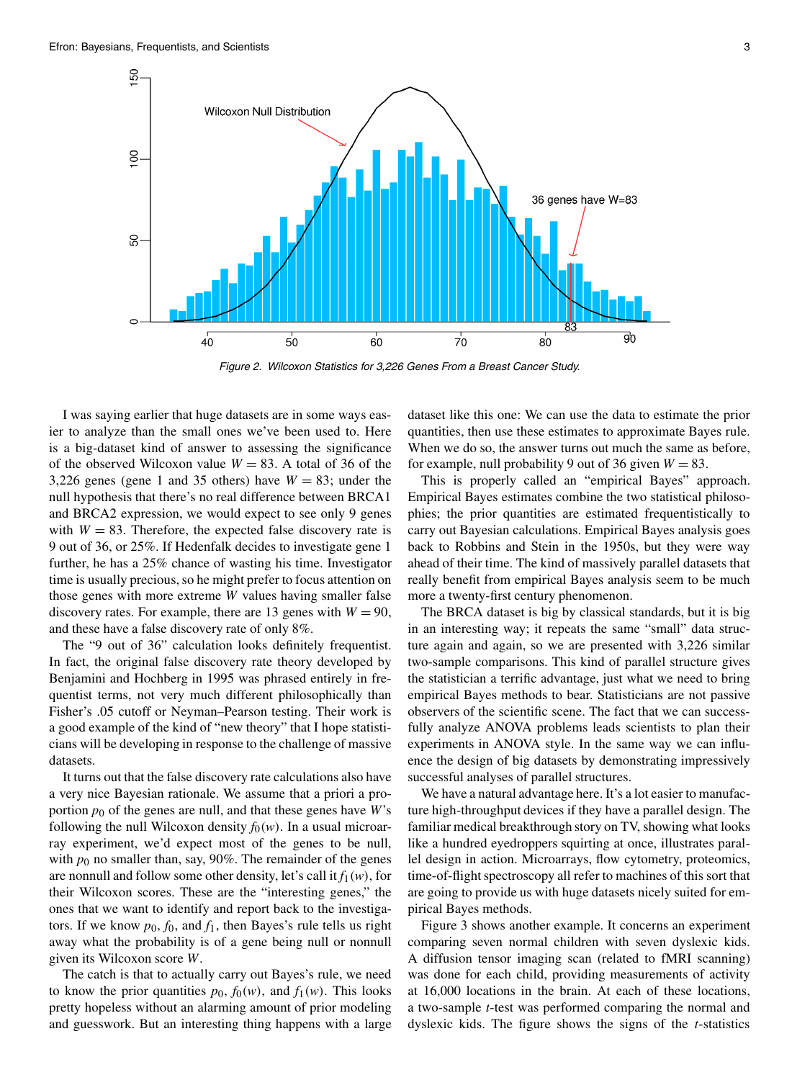

Figure 2. Wilcoxon Statistics for 3,226 Genes From a Breast Cancer Study.

I was saying earlier that huge datasets are in some ways easier to analyze than the small ones we've been used to. Here is a big-dataset kind of answer to assessing the significance of the observed Wilcoxon value  $W = 83$ . A total of 36 of the 3,226 genes (gene 1 and 35 others) have  $W = 83$ ; under the null hypothesis that there's no real difference between BRCA1 and BRCA2 expression, we would expect to see only 9 genes with  $W = 83$ . Therefore, the expected false discovery rate is 9 out of 36, or 25%. If Hedenfalk decides to investigate gene 1 further, he has a 25% chance of wasting his time. Investigator time is usually precious, so he might prefer to focus attention on those genes with more extreme W values having smaller false discovery rates. For example, there are 13 genes with  $W = 90$ , and these have a false discovery rate of only 8%.

The "9 out of 36" calculation looks definitely frequentist. In fact, the original false discovery rate theory developed by Benjamini and Hochberg in 1995 was phrased entirely in frequentist terms, not very much different philosophically than Fisher's .05 cutoff or Neyman-Pearson testing. Their work is a good example of the kind of "new theory" that I hope statisticians will be developing in response to the challenge of massive datasets.

It turns out that the false discovery rate calculations also have a very nice Bayesian rationale. We assume that a priori a proportion  $p_0$  of the genes are null, and that these genes have W's following the null Wilcoxon density  $f_0(w)$ . In a usual microarray experiment, we'd expect most of the genes to be null, with  $p_0$  no smaller than, say, 90%. The remainder of the genes are nonnull and follow some other density, let's call it  $f_1(w)$ , for their Wilcoxon scores. These are the "interesting genes," the ones that we want to identify and report back to the investigators. If we know  $p_0$ ,  $f_0$ , and  $f_1$ , then Bayes's rule tells us right away what the probability is of a gene being null or nonnull given its Wilcoxon score W.

The catch is that to actually carry out Bayes's rule, we need to know the prior quantities  $p_0$ ,  $f_0(w)$ , and  $f_1(w)$ . This looks pretty hopeless without an alarming amount of prior modeling and guesswork. But an interesting thing happens with a large dataset like this one: We can use the data to estimate the prior quantities, then use these estimates to approximate Bayes rule. When we do so, the answer turns out much the same as before, for example, null probability 9 out of 36 given  $W = 83$ .

This is properly called an "empirical Bayes" approach. Empirical Bayes estimates combine the two statistical philosophies; the prior quantities are estimated frequentistically to carry out Bayesian calculations. Empirical Bayes analysis goes back to Robbins and Stein in the 1950s, but they were way ahead of their time. The kind of massively parallel datasets that really benefit from empirical Bayes analysis seem to be much more a twenty-first century phenomenon.

The BRCA dataset is big by classical standards, but it is big in an interesting way; it repeats the same "small" data structure again and again, so we are presented with 3,226 similar two-sample comparisons. This kind of parallel structure gives the statistician a terrific advantage, just what we need to bring empirical Bayes methods to bear. Statisticians are not passive observers of the scientific scene. The fact that we can successfully analyze ANOVA problems leads scientists to plan their experiments in ANOVA style. In the same way we can influence the design of big datasets by demonstrating impressively successful analyses of parallel structures.

We have a natural advantage here. It's a lot easier to manufacture high-throughput devices if they have a parallel design. The familiar medical breakthrough story on TV, showing what looks like a hundred eyedroppers squirting at once, illustrates parallel design in action. Microarrays, flow cytometry, proteomics, time-of-flight spectroscopy all refer to machines of this sort that are going to provide us with huge datasets nicely suited for empirical Bayes methods.

Figure 3 shows another example. It concerns an experiment comparing seven normal children with seven dyslexic kids. A diffusion tensor imaging scan (related to fMRI scanning) was done for each child, providing measurements of activity at 16,000 locations in the brain. At each of these locations, a two-sample *t*-test was performed comparing the normal and dyslexic kids. The figure shows the signs of the  $t$ -statistics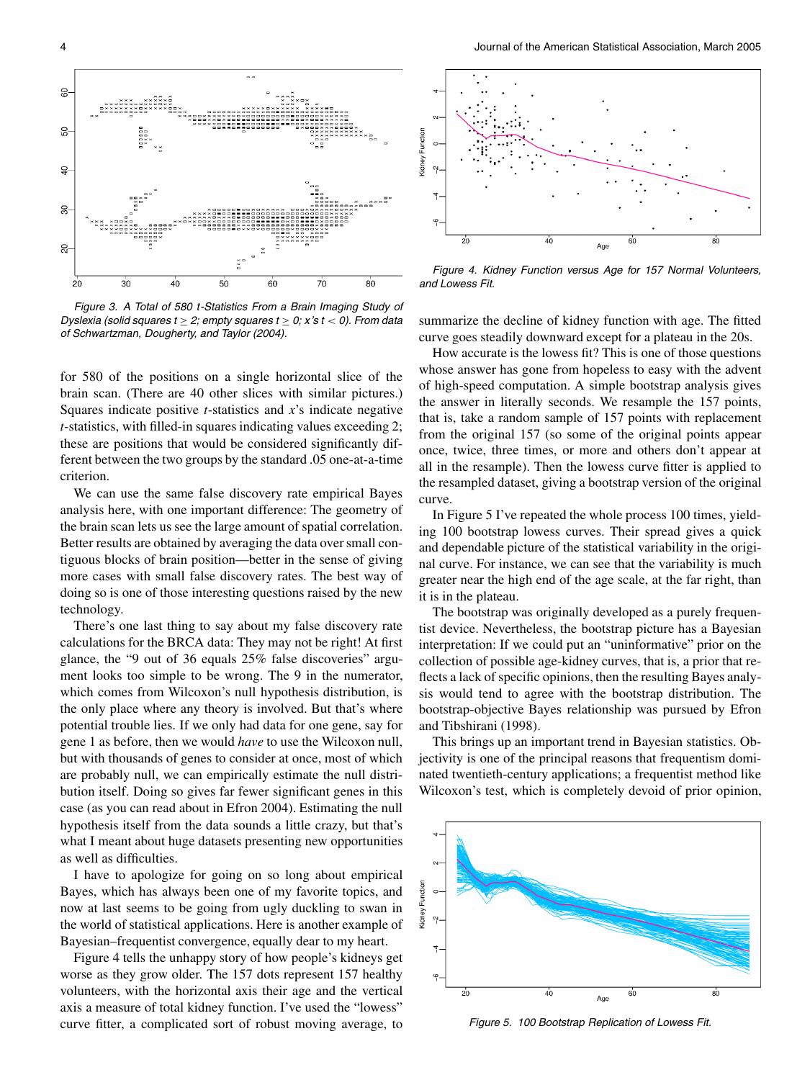

Figure 3. A Total of 580 t-Statistics From a Brain Imaging Study of Dyslexia (solid squares  $t \geq 2$ ; empty squares  $t \geq 0$ ; x's  $t < 0$ ). From data of Schwartzman, Dougherty, and Taylor (2004).

for 580 of the positions on a single horizontal slice of the brain scan. (There are 40 other slices with similar pictures.) Squares indicate positive  $t$ -statistics and  $x$ 's indicate negative *t*-statistics, with filled-in squares indicating values exceeding 2; these are positions that would be considered significantly different between the two groups by the standard 0.05 one-at-a-time criterion.

We can use the same false discovery rate empirical Bayes analysis here, with one important difference: The geometry of the brain scan lets us see the large amount of spatial correlation. Better results are obtained by averaging the data over small contiguous blocks of brain position—better in the sense of giving more cases with small false discovery rates. The best way of doing so is one of those interesting questions raised by the new technology.

There's one last thing to say about my false discovery rate calculations for the BRCA data: They may not be right! At first glance, the "9 out of 36 equals 25% false discoveries" argument looks too simple to be wrong. The 9 in the numerator, which comes from Wilcoxon's null hypothesis distribution, is the only place where any theory is involved. But that's where potential trouble lies. If we only had data for one gene, say for gene 1 as before, then we would have to use the Wilcoxon null, but with thousands of genes to consider at once, most of which are probably null, we can empirically estimate the null distribution itself. Doing so gives far fewer significant genes in this case (as you can read about in Efron 2004). Estimating the null hypothesis itself from the data sounds a little crazy, but that's what I meant about huge datasets presenting new opportunities as well as difficulties.

I have to apologize for going on so long about empirical Bayes, which has always been one of my favorite topics, and now at last seems to be going from ugly duckling to swan in the world of statistical applications. Here is another example of Bayesian–frequentist convergence, equally dear to my heart.

Figure 4 tells the unhappy story of how people's kidneys get worse as they grow older. The 157 dots represent 157 healthy volunteers, with the horizontal axis their age and the vertical axis a measure of total kidney function. I've used the "lowess" curve fitter, a complicated sort of robust moving average, to



Figure 4. Kidney Function versus Age for 157 Normal Volunteers, and Lowess Fit.

summarize the decline of kidney function with age. The fitted curve goes steadily downward except for a plateau in the 20s.

How accurate is the lowess fit? This is one of those questions whose answer has gone from hopeless to easy with the advent of high-speed computation. A simple bootstrap analysis gives the answer in literally seconds. We resample the 157 points, that is, take a random sample of 157 points with replacement from the original 157 (so some of the original points appear once, twice, three times, or more and others don't appear at all in the resample). Then the lowess curve fitter is applied to the resampled dataset, giving a bootstrap version of the original curve.

In Figure 5 I've repeated the whole process 100 times, yielding 100 bootstrap lowess curves. Their spread gives a quick and dependable picture of the statistical variability in the original curve. For instance, we can see that the variability is much greater near the high end of the age scale, at the far right, than it is in the plateau.

The bootstrap was originally developed as a purely frequentist device. Nevertheless, the bootstrap picture has a Bayesian interpretation: If we could put an "uninformative" prior on the collection of possible age-kidney curves, that is, a prior that reflects a lack of specific opinions, then the resulting Bayes analysis would tend to agree with the bootstrap distribution. The bootstrap-objective Bayes relationship was pursued by Efron and Tibshirani (1998).

This brings up an important trend in Bayesian statistics. Objectivity is one of the principal reasons that frequentism dominated twentieth-century applications; a frequentist method like Wilcoxon's test, which is completely devoid of prior opinion,



Figure 5. 100 Bootstrap Replication of Lowess Fit.